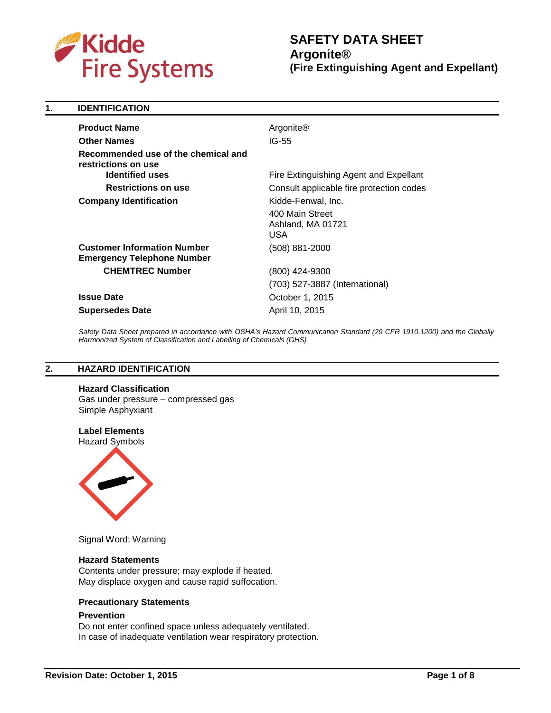

| 1. | <b>IDENTIFICATION</b>                                                                |                                                    |
|----|--------------------------------------------------------------------------------------|----------------------------------------------------|
|    | <b>Product Name</b>                                                                  | Argonite®                                          |
|    | <b>Other Names</b>                                                                   | $IG-55$                                            |
|    | Recommended use of the chemical and<br>restrictions on use<br><b>Identified uses</b> |                                                    |
|    |                                                                                      | Fire Extinguishing Agent and Expellant             |
|    | <b>Restrictions on use</b>                                                           | Consult applicable fire protection codes           |
|    | <b>Company Identification</b>                                                        | Kidde-Fenwal, Inc.                                 |
|    |                                                                                      | 400 Main Street<br>Ashland, MA 01721<br><b>USA</b> |
|    | <b>Customer Information Number</b><br><b>Emergency Telephone Number</b>              | (508) 881-2000                                     |
|    | <b>CHEMTREC Number</b>                                                               | (800) 424-9300                                     |
|    |                                                                                      | (703) 527-3887 (International)                     |
|    | <b>Issue Date</b>                                                                    | October 1, 2015                                    |
|    | <b>Supersedes Date</b>                                                               | April 10, 2015                                     |

*Safety Data Sheet prepared in accordance with OSHA's Hazard Communication Standard (29 CFR 1910.1200) and the Globally Harmonized System of Classification and Labelling of Chemicals (GHS)*

### **2. HAZARD IDENTIFICATION**

**Hazard Classification** 

Gas under pressure – compressed gas Simple Asphyxiant

# **Label Elements**





Signal Word: Warning

### **Hazard Statements**

Contents under pressure; may explode if heated. May displace oxygen and cause rapid suffocation.

### **Precautionary Statements**

#### **Prevention**

Do not enter confined space unless adequately ventilated. In case of inadequate ventilation wear respiratory protection.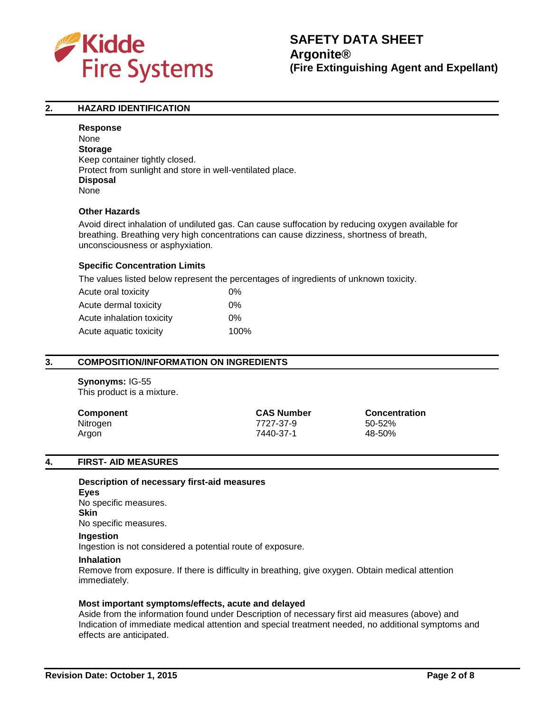

# **2. HAZARD IDENTIFICATION**

**Response** None **Storage** Keep container tightly closed. Protect from sunlight and store in well-ventilated place. **Disposal** None

#### **Other Hazards**

Avoid direct inhalation of undiluted gas. Can cause suffocation by reducing oxygen available for breathing. Breathing very high concentrations can cause dizziness, shortness of breath, unconsciousness or asphyxiation.

#### **Specific Concentration Limits**

The values listed below represent the percentages of ingredients of unknown toxicity.

| Acute oral toxicity       | 0%   |
|---------------------------|------|
| Acute dermal toxicity     | 0%   |
| Acute inhalation toxicity | 0%   |
| Acute aquatic toxicity    | 100% |

#### **3. COMPOSITION/INFORMATION ON INGREDIENTS**

# **Synonyms:** IG-55

This product is a mixture.

| Component | <b>CAS Number</b> | <b>Concentration</b> |
|-----------|-------------------|----------------------|
| Nitrogen  | 7727-37-9         | 50-52%               |
| Argon     | 7440-37-1         | 48-50%               |

#### **4. FIRST- AID MEASURES**

**Description of necessary first-aid measures Eyes** No specific measures. **Skin** No specific measures. **Ingestion** Ingestion is not considered a potential route of exposure.

#### **Inhalation**

Remove from exposure. If there is difficulty in breathing, give oxygen. Obtain medical attention immediately.

#### **Most important symptoms/effects, acute and delayed**

Aside from the information found under Description of necessary first aid measures (above) and Indication of immediate medical attention and special treatment needed, no additional symptoms and effects are anticipated.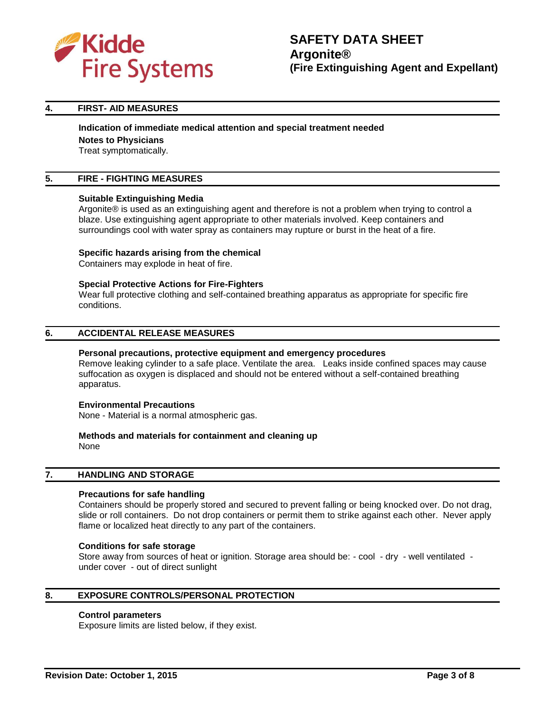

### **4. FIRST- AID MEASURES**

# **Indication of immediate medical attention and special treatment needed**

**Notes to Physicians**

Treat symptomatically.

# **5. FIRE - FIGHTING MEASURES**

#### **Suitable Extinguishing Media**

Argonite® is used as an extinguishing agent and therefore is not a problem when trying to control a blaze. Use extinguishing agent appropriate to other materials involved. Keep containers and surroundings cool with water spray as containers may rupture or burst in the heat of a fire.

#### **Specific hazards arising from the chemical**

Containers may explode in heat of fire.

#### **Special Protective Actions for Fire-Fighters**

Wear full protective clothing and self-contained breathing apparatus as appropriate for specific fire conditions.

#### **6. ACCIDENTAL RELEASE MEASURES**

#### **Personal precautions, protective equipment and emergency procedures**

Remove leaking cylinder to a safe place. Ventilate the area. Leaks inside confined spaces may cause suffocation as oxygen is displaced and should not be entered without a self-contained breathing apparatus.

#### **Environmental Precautions**

None - Material is a normal atmospheric gas.

#### **Methods and materials for containment and cleaning up** None

#### **7. HANDLING AND STORAGE**

#### **Precautions for safe handling**

Containers should be properly stored and secured to prevent falling or being knocked over. Do not drag, slide or roll containers. Do not drop containers or permit them to strike against each other. Never apply flame or localized heat directly to any part of the containers.

#### **Conditions for safe storage**

Store away from sources of heat or ignition. Storage area should be: - cool - dry - well ventilated under cover - out of direct sunlight

# **8. EXPOSURE CONTROLS/PERSONAL PROTECTION**

#### **Control parameters**

Exposure limits are listed below, if they exist.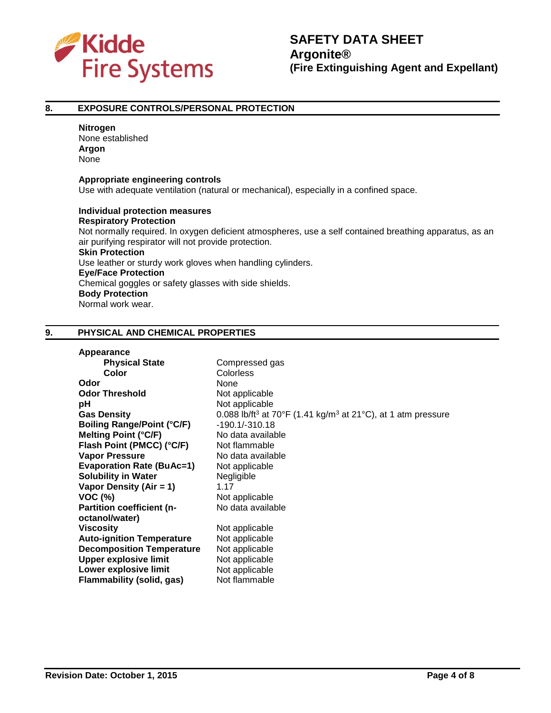

#### **8. EXPOSURE CONTROLS/PERSONAL PROTECTION**

#### **Nitrogen**

None established **Argon** None

#### **Appropriate engineering controls**

Use with adequate ventilation (natural or mechanical), especially in a confined space.

# **Individual protection measures Respiratory Protection**

Not normally required. In oxygen deficient atmospheres, use a self contained breathing apparatus, as an air purifying respirator will not provide protection.

#### **Skin Protection**

Use leather or sturdy work gloves when handling cylinders.

# **Eye/Face Protection**

Chemical goggles or safety glasses with side shields.

# **Body Protection**

Normal work wear.

### **9. PHYSICAL AND CHEMICAL PROPERTIES**

#### **Appearance**

| <b>Physical State</b>             | Compressed gas                                                                       |
|-----------------------------------|--------------------------------------------------------------------------------------|
| Color                             | <b>Colorless</b>                                                                     |
| Odor                              | None                                                                                 |
| <b>Odor Threshold</b>             | Not applicable                                                                       |
| рH                                | Not applicable                                                                       |
| <b>Gas Density</b>                | 0.088 lb/ft <sup>3</sup> at 70°F (1.41 kg/m <sup>3</sup> at 21°C), at 1 atm pressure |
| <b>Boiling Range/Point (°C/F)</b> | $-190.1/-310.18$                                                                     |
| <b>Melting Point (°C/F)</b>       | No data available                                                                    |
| Flash Point (PMCC) (°C/F)         | Not flammable                                                                        |
| <b>Vapor Pressure</b>             | No data available                                                                    |
| <b>Evaporation Rate (BuAc=1)</b>  | Not applicable                                                                       |
| <b>Solubility in Water</b>        | Negligible                                                                           |
| Vapor Density (Air = 1)           | 1.17                                                                                 |
| <b>VOC (%)</b>                    | Not applicable                                                                       |
| <b>Partition coefficient (n-</b>  | No data available                                                                    |
| octanol/water)                    |                                                                                      |
| <b>Viscosity</b>                  | Not applicable                                                                       |
| <b>Auto-ignition Temperature</b>  | Not applicable                                                                       |
| <b>Decomposition Temperature</b>  | Not applicable                                                                       |
| <b>Upper explosive limit</b>      | Not applicable                                                                       |
| Lower explosive limit             | Not applicable                                                                       |
| Flammability (solid, gas)         | Not flammable                                                                        |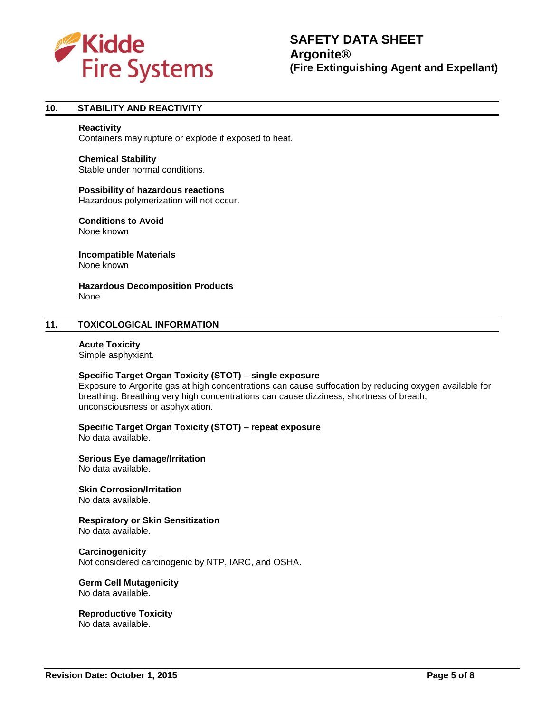

# **10. STABILITY AND REACTIVITY**

#### **Reactivity**

Containers may rupture or explode if exposed to heat.

#### **Chemical Stability**

Stable under normal conditions.

#### **Possibility of hazardous reactions**

Hazardous polymerization will not occur.

#### **Conditions to Avoid**

None known

**Incompatible Materials** None known

**Hazardous Decomposition Products** None

### **11. TOXICOLOGICAL INFORMATION**

#### **Acute Toxicity** Simple asphyxiant.

# **Specific Target Organ Toxicity (STOT) – single exposure**

Exposure to Argonite gas at high concentrations can cause suffocation by reducing oxygen available for breathing. Breathing very high concentrations can cause dizziness, shortness of breath, unconsciousness or asphyxiation.

**Specific Target Organ Toxicity (STOT) – repeat exposure**

No data available.

#### **Serious Eye damage/Irritation**

No data available.

# **Skin Corrosion/Irritation**

No data available.

#### **Respiratory or Skin Sensitization** No data available.

#### **Carcinogenicity**

Not considered carcinogenic by NTP, IARC, and OSHA.

# **Germ Cell Mutagenicity**

No data available.

# **Reproductive Toxicity**

No data available.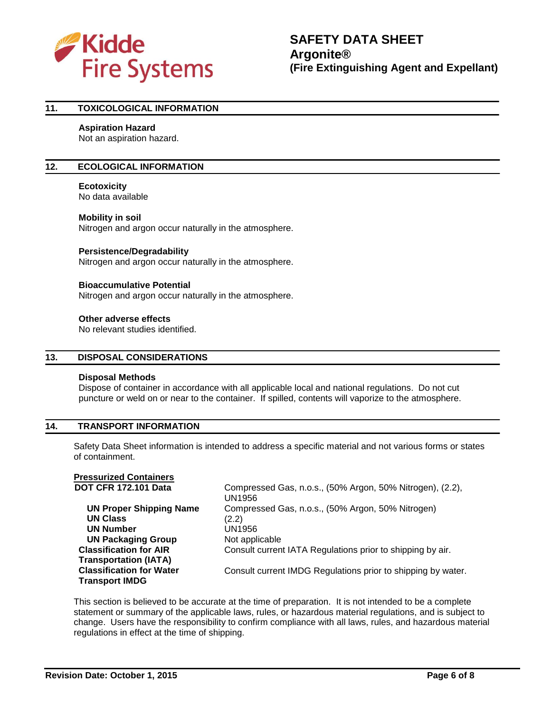

# **11. TOXICOLOGICAL INFORMATION**

#### **Aspiration Hazard**

Not an aspiration hazard.

#### **12. ECOLOGICAL INFORMATION**

#### **Ecotoxicity**

No data available

#### **Mobility in soil**

Nitrogen and argon occur naturally in the atmosphere.

#### **Persistence/Degradability**

Nitrogen and argon occur naturally in the atmosphere.

#### **Bioaccumulative Potential**

Nitrogen and argon occur naturally in the atmosphere.

#### **Other adverse effects**

No relevant studies identified.

# **13. DISPOSAL CONSIDERATIONS**

#### **Disposal Methods**

Dispose of container in accordance with all applicable local and national regulations. Do not cut puncture or weld on or near to the container. If spilled, contents will vaporize to the atmosphere.

### **14. TRANSPORT INFORMATION**

Safety Data Sheet information is intended to address a specific material and not various forms or states of containment.

| <b>Pressurized Containers</b>   |                                                                     |
|---------------------------------|---------------------------------------------------------------------|
| <b>DOT CFR 172.101 Data</b>     | Compressed Gas, n.o.s., (50% Argon, 50% Nitrogen), (2.2),<br>UN1956 |
| <b>UN Proper Shipping Name</b>  | Compressed Gas, n.o.s., (50% Argon, 50% Nitrogen)                   |
| <b>UN Class</b>                 | (2.2)                                                               |
| <b>UN Number</b>                | UN1956                                                              |
| <b>UN Packaging Group</b>       | Not applicable                                                      |
| <b>Classification for AIR</b>   | Consult current IATA Regulations prior to shipping by air.          |
| <b>Transportation (IATA)</b>    |                                                                     |
| <b>Classification for Water</b> | Consult current IMDG Regulations prior to shipping by water.        |
| <b>Transport IMDG</b>           |                                                                     |

This section is believed to be accurate at the time of preparation. It is not intended to be a complete statement or summary of the applicable laws, rules, or hazardous material regulations, and is subject to change. Users have the responsibility to confirm compliance with all laws, rules, and hazardous material regulations in effect at the time of shipping.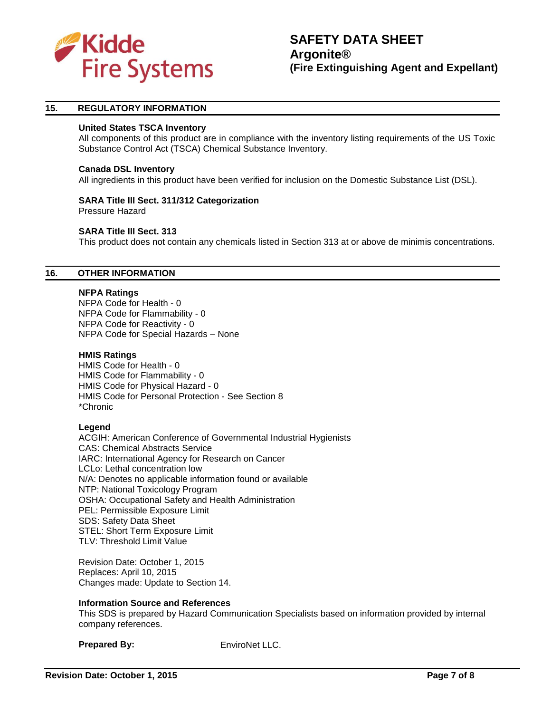

### **15. REGULATORY INFORMATION**

#### **United States TSCA Inventory**

All components of this product are in compliance with the inventory listing requirements of the US Toxic Substance Control Act (TSCA) Chemical Substance Inventory.

#### **Canada DSL Inventory**

All ingredients in this product have been verified for inclusion on the Domestic Substance List (DSL).

#### **SARA Title III Sect. 311/312 Categorization**

Pressure Hazard

#### **SARA Title III Sect. 313**

This product does not contain any chemicals listed in Section 313 at or above de minimis concentrations.

#### **16. OTHER INFORMATION**

#### **NFPA Ratings**

NFPA Code for Health - 0 NFPA Code for Flammability - 0 NFPA Code for Reactivity - 0 NFPA Code for Special Hazards – None

#### **HMIS Ratings**

HMIS Code for Health - 0 HMIS Code for Flammability - 0 HMIS Code for Physical Hazard - 0 HMIS Code for Personal Protection - See Section 8 \*Chronic

### **Legend**

ACGIH: American Conference of Governmental Industrial Hygienists CAS: Chemical Abstracts Service IARC: International Agency for Research on Cancer LCLo: Lethal concentration low N/A: Denotes no applicable information found or available NTP: National Toxicology Program OSHA: Occupational Safety and Health Administration PEL: Permissible Exposure Limit SDS: Safety Data Sheet STEL: Short Term Exposure Limit TLV: Threshold Limit Value

Revision Date: October 1, 2015 Replaces: April 10, 2015 Changes made: Update to Section 14.

#### **Information Source and References**

This SDS is prepared by Hazard Communication Specialists based on information provided by internal company references.

**Prepared By:** EnviroNet LLC.